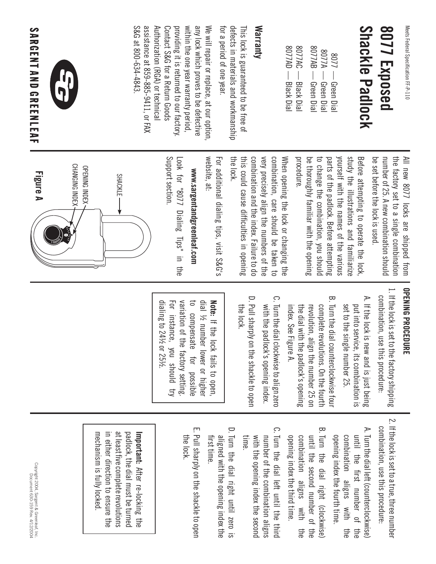| <b>POSS</b>         |
|---------------------|
| ٦<br>ו החמון        |
| nood<br>וממנוח<br>i |
| 끆<br>ı<br>2         |

### **Shackle Padlock** 8077 Exposed **Shackle Padlock 8077 Exposed**

| <b>GA77AD</b>  | 3077AC                   | 8077AB<br>8077<br>1/08<br>⋗                                   |
|----------------|--------------------------|---------------------------------------------------------------|
| Blackl<br>Dial | <b>Black</b><br>Dia<br>E | Green <sup>1</sup><br>Green<br>Green<br>DIa<br>اھ<br>≊<br>bid |

## **Warranty**

detects in materials and workmanship This lock is guaranteed to be free of for a period of one year. for a period of one year. defects in materials and workmanship This lock is guaranteed to be free of

S&G at 800-634-4843 assistance at 859-885-9411, or FAX Authorization (RGA) or technical Contact S&G for a Return Goods providing it is returned to our factory. within the one year warranty period, any lock which proves to be defective We will repair or replace, at our option S&G at 800-634-4843. assistance at 859-885-9411, or FAX Authorization (RGA) or technical Contact S&G for a Return Goods providing it is returned to our factory. within the one year warranty period, any lock which proves to be defective We will repair or replace, at our option,



**SARGENT AND GREENLEAF** 

the factory set to a single combination All new 8077 locks are shipped from be set before the lock is used. number of 25. A new combination should be set before the lock is used. number of 25. A new combination should the factory set to a single combination All new 8077 locks are shipped from

procedure. study the illustrations and familiarize be thoroughly familiar with the opening to change the combination, you should parts of the padlock. Before attempting yourself with the names of the various Before attempting to operate the lock, be thoroughly familiar with the opening to change the combination, you should parts of the padlock. Before attempting yourself with the names of the various study the illustrations and familiarize Before attempting to operate the lock,

the lock. combination and the index. Failure to do very precisely align the numbers of the combination, care should be taken to When opening the lock or changing the this could cause difficulties in opening this could cause difficulties in opening combination and the index. Failure to do very precisely align the numbers of the combination, care should be taken to When opening the lock or changing the

website, at: For additional dialing tips, visit S&G's For additional dialing tips, visit S&G's

# www.sargentandgreenleaf.com **www.sargentandgreenleaf.com**

Support section Look for "8077 Dialing Tips" in the Support section. Look for "8077 Dialing Tips" in the



### **OPENING PROCEDURE OPENING PROCEDURE**

- 1. If the lock is set to the factory shipping 1. If the lock is set to the factory shipping combination, use this procedure. combination, use this procedure:
- A. If the lock is new and is just being A. If the lock is new and is just being set to the single number 25. put into service, its combination is set to the single number 25. put into service, its combination is
- B. Turn the dial counterclockwise four B. Turn the dial counterclockwise four index. See Figure A. the dial with the padlock's opening revolution, align the number 25 on complete revolutions. On the fourth index. See Figure A. the dial with the padlock's opening revolution, align the number 25 on complete revolutions. On the fourth
- C. Turn the dial clockwise to align zero C. Turn the dial clockwise to align zerc with the padlock's opening index. with the padlock's opening index.
- D. Pull sharply on the shackle to open D. Pull sharply on the shackle to open<br>the lock.

variation of the factory setting dial ½ number lower or higher dialing to 241/2 or 251/2. dialing to 24½ or 25½. For instance, you should try For instance, you should try variation of the factory setting. to compensate for possible to compensate for possible dial ½ number lower or higher Note: If the lock fails to open **Note:** If the lock fails to open,

> 2. If the lock is set to a true, three number 2. If the lock is set to a true, three number combination, use this procedure: combination, use this procedure:

- A. Turn the dial left (counterclockwise) A. Turn the dial left (counterclockwise) opening index the fourth time. combination aligns with until the first number of the opening index the fourth time. combination aligns with the until the first number of the the
- B. Turn the dial right (clockwise) B. Turn the dial right (clockwise) opening index the third time. combination aligns with until the second number of the opening index the third time. combination aligns with the until the second number of the the
- C. Turn the dial left until the third C. Turn the dial left until the third time. with the opening index the second number of the combination aligns with the opening index the second number of the combination aligns
- D. Turn the dial right until zero is D. Turn the dial right until zero is aligned with the opening index the first time. aligned with the opening index the
- E. Pull sharply on the shackle to open E. Pull sharply on the shackle to open<br>the lock.

mechanism is fully locked. in either direction to ensure the at least five complete revolutions padlock, the dial must be turned mechanism is fully locked. in either direction to ensure the at least five complete revolutions padlock, the dial must be turned **Important:** After re-locking the **Important:** After re-locking the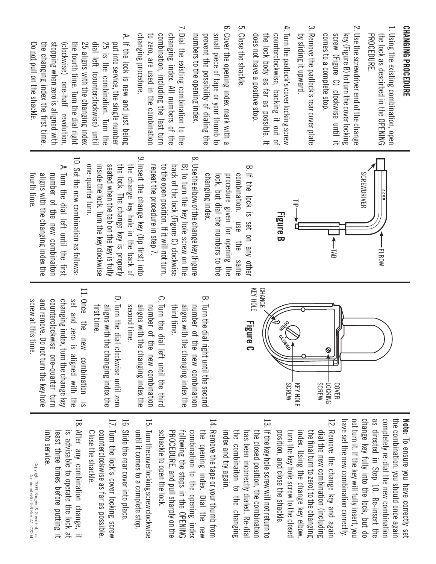## **CHANGING PROCEDURE CHANGING PROCEDURE**

- 1. Using the existing combination, open 1. Using the existing combination, open PROCEDURE. the lock as descirbed in the OPENING the lock as descirbed in the OPENING
- 2. Use the screwdriver end of the change 2. Use the screwdriver end of the change comes to a complete stop. screw (Figure C) clockwise until it comes to a complete stop. screw (Figure C) clockwise until it key (Figure B) to turn the cover locking key (Figure B) to turn the cover locking
- 3. Remove the padlock's rear cover plate 3. Remove the padlock's rear cover plate by sliding it upward. by sliding it upward.
- 4. Turn the padlock's cover locking screw 4. Turn the padlock's cover locking screw counterclockwise, backing it out of does not have a positive stop. does not have a positive stop. the lock body as far as possible. It the lock body as far as possible. It counterclockwise, backing it out of
- 5. Close the shackle. 5. Close the shackle.
- 6. Cover the opening index mark with a 6. Cover the opening index mark with a prevent the possibility of dialing the small piece of tape or your thumb to numbers to the opening index. numbers to the opening index. prevent the possibility of dialing the small piece of tape or your thumb to
- 7. Dial the existing combination to the 7. Dial the existing combination to the changing procedure. combination, including the last turn changing index. All numbers of the to zero, are used in the combination changing procedure. to zero, are used in the combination combination, including the last turn changing index. All numbers of the
- A. If the lock is new and just being A. If the lock is new and just being Do not pull on the shackle. the changing index the first time stopping when zero is aligned with (clockwise) one-half revolution the fourth time. Turn the dial right 25 aligns with the changing index dial left (counterclockwise) unti 25 is the combination. Turn the put into service, the single number the changing index the first time. stopping when zero is aligned with (clockwise) one-half revolution, the fourth time. Turn the dial right 25 aligns with the changing index dial left (counterclockwise) until 25 is the combination. Turn the put into service, the single number not pull on the shackle.



- B. If the lock is set on any other B. If the lock is set on any other procedure given for opening the combination, changing index. changing index. lock, but dial the numbers to the lock, but dial the numbers to the procedure given for opening the combination, use the same use the same
- $\infty$ 8. Use the elbow of the change key (Figure . Use the elbow of the change key (Figure back of the lock (Figure C) clockwise B) to turn the key hole screw on the repeat the procedure in step 7. repeat the procedure in step 7. to the open position. If it will not turn, to the open position. If it will not turn, back of the lock (Figure C) clockwise B) to turn the key hole screw on the
- م 9. Insert the change key (tip first) into Insert the change key (tip first) into one-quarter turn. seated when the tab on the key is fully the lock. The change key is properly the change key hole in the back of one-quarter turn. inside the lock. Turn the key clockwise inside the lock. Turn the key clockwise seated when the tab on the key is fully the lock. The change key is properly the change key hole in the back of
- A. Turn the dial left until the first 10. Set the new combination as follows: 10. Set the new combination as follows:  $\blacktriangleright$ Turn the dial left until the first aligns with the changing index the<br>fourth time. number of the new combinaiton aligns with the changing index the number of the new combinaiton



- B. Turn the dial right until the second B. Turn the dial right until the second third time. aligns with the changing index the number of the new combination aligns with the changing index the number of the new combination
- C. Turn the dial left until the third Ω. Turn the dial left until the third aligns with the changing index the<br>second time. number of the new combination aligns with the changing index the number of the new combination
- D. Turn the dial clockwise until zero D. Turn the dial clockwise until zerc aligns with the changing index the first time. aligns with the changing index the
- 11. Once the new combination is<br>set and zero is aligned with the 11. Once the new combination is and remove. Do not turn the key hole changing index, turn the change key screw at this time counterclockwise one-quarter turn screw at this time. and remove. Do not turn the key hole counterclockwise one-quarter turn changing index, turn the change key set and zero is aligned with the

have set the new combination correctly. not turn it. If the key will fully insert, you not turn it. If the key will fully insert, you change key fully into the lock, but do change key fully into the lock, but do as directed in Step 10. Re-insert the as directed in Step 10. Re-insert the completely re-dial the new combination completely re-dial the new combination the combination, you should once again the combination, you should once again Note: To ensure you have correctly set **Note:** To ensure you have correctly set have set the new combination correctly.

- 12. Remove the change key and again 12. Remove the change key and again position, and close the shackle. turn the key hole screw to the closed the final turn to zero) to the changing dial the new combination (including position, and close the shackle. turn the key hole screw to the closed index. Using the change key elbow, the final turn to zero) to the changing dial the new combination (including) index. Using the change key elbow
- 13. If the key hole screw will not return to 13. If the key hole screw will not return to index and try again. has been incorrectly dialed. Re-dia the closed position, the combination index and try again. the combinaiton to the changing the combinaiton to the changing has been incorrectly dialed. Re-dial the closed position, the combination
- 14. Remove the tape or your thumb from 14. Remove the tape or your thumb from PROCEDURE, and pull sharply on the combination to the opening index the opening index. Dial the new schackle to open the lock. schackle to open the lock. PROCEDURE, and pull sharply on the following the steps in the OPENING following the steps in the OPENING combination to the opening index the opening index. Dial the new
- 15. Turn the cover locking screw clockwise 15. Turn the cover locking screw clockwise until it comes to a complete stop. until it comes to a complete stop.
- 16. Slide the rear cover into place 16. Slide the rear cover into place.
- 17. Turn the lock's cover locking screw 17. Turn the lock's cover locking screw counterclockwise as far as possible Close the shackle. Close the shackle. counterclockwise as far as possible.
- 18. After any combination change, it 18. After any combination change, it is advisable to operate the lock at into service. least three times before putting it least three times before putting it is advisable to operate the lock at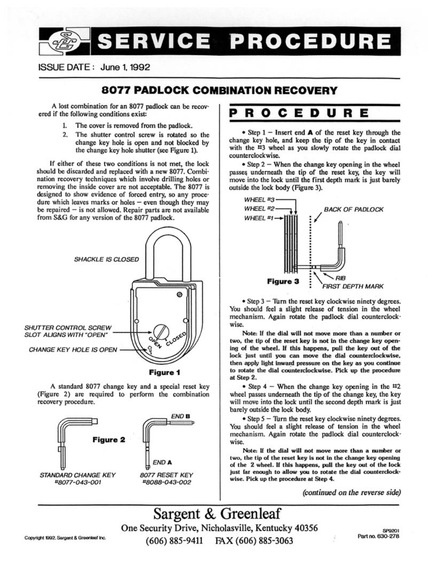### SERVICE PROCEDURE

#### ISSUE DATE: June 1, 1992

#### 8077 PADLOCK COMBINATION RECOVERY

A lost combination for an 8077 padlock can be recovered if the following conditions exist:

- The cover is removed from the padlock. 1.
- $2.$ The shutter control screw is rotated so the change key hole is open and not blocked by the change key hole shutter (see Figure 1).

If either of these two conditions is not met, the lock should be discarded and replaced with a new 8077. Combination recovery techniques which involve drilling holes or removing the inside cover are not acceptable. The 8077 is designed to show evidence of forced entry, so any procedure which leaves marks or holes  $-$  even though they may be repaired - is not allowed. Repair parts are not available from S&G for any version of the 8077 padlock.



Figure 1

A standard 8077 change key and a special reset key (Figure 2) are required to perform the combination recovery procedure.



#### R O c. Е D -U RЕ

• Step  $1$  – Insert end **A** of the reset key through the change key hole, and keep the tip of the key in contact with the #3 wheel as you slowly rotate the padlock dial counterclockwise.

• Step 2 – When the change key opening in the wheel passes underneath the tip of the reset key, the key will move into the lock until the first depth mark is just barely outside the lock body (Figure 3).



 $\bullet$  Step 3 – Turn the reset key clockwise ninety degrees. You should feel a slight release of tension in the wheel mechanism. Again rotate the padlock dial counterclockwise.

Note: If the dial will not move more than a number or two, the tip of the reset key is not in the change key opening of the wheel. If this happens, pull the key out of the lock just until you can move the dial counterclockwise, then apply light inward pressure on the key as you continue to rotate the dial counterclockwise. Pick up the procedure at Step 2.

• Step  $4$  – When the change key opening in the  $\text{#2}$ wheel passes underneath the tip of the change key, the key will move into the lock until the second depth mark is just barely outside the lock body.

• Step 5 - Turn the reset key clockwise ninety degrees. You should feel a slight release of tension in the wheel mechanism. Again rotate the padlock dial counterclockwise.

Note: If the dial will not move more than a number or two, the tip of the reset key is not in the change key opening of the 2 wheel. If this happens, pull the key out of the lock just far enough to allow you to rotate the dial counterclockwise. Pick up the procedure at Step 4.

(continued on the reverse side)

Sargent & Greenleaf One Security Drive, Nicholasville, Kentucky 40356  $(606) 885 - 9411$ FAX (606) 885-3063

Copyright 1992, Sargent & Greenleaf Inc.